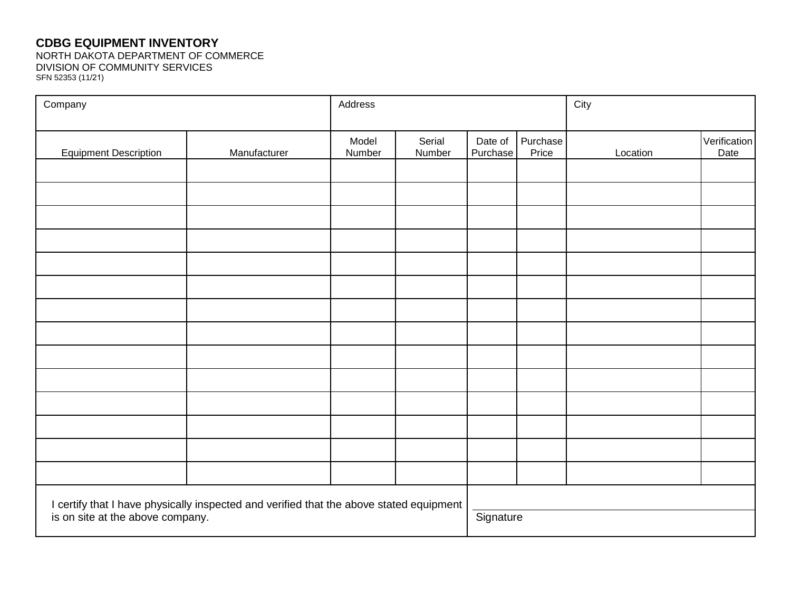## **CDBG EQUIPMENT INVENTORY**

NORTH DAKOTA DEPARTMENT OF COMMERCE DIVISION OF COMMUNITY SERVICES SFN 52353 (11/21)

| Company                                                                                 |              | Address         |                  |                     | City              |          |                      |
|-----------------------------------------------------------------------------------------|--------------|-----------------|------------------|---------------------|-------------------|----------|----------------------|
| <b>Equipment Description</b>                                                            | Manufacturer | Model<br>Number | Serial<br>Number | Date of<br>Purchase | Purchase<br>Price | Location | Verification<br>Date |
|                                                                                         |              |                 |                  |                     |                   |          |                      |
|                                                                                         |              |                 |                  |                     |                   |          |                      |
|                                                                                         |              |                 |                  |                     |                   |          |                      |
|                                                                                         |              |                 |                  |                     |                   |          |                      |
|                                                                                         |              |                 |                  |                     |                   |          |                      |
|                                                                                         |              |                 |                  |                     |                   |          |                      |
|                                                                                         |              |                 |                  |                     |                   |          |                      |
|                                                                                         |              |                 |                  |                     |                   |          |                      |
|                                                                                         |              |                 |                  |                     |                   |          |                      |
|                                                                                         |              |                 |                  |                     |                   |          |                      |
|                                                                                         |              |                 |                  |                     |                   |          |                      |
|                                                                                         |              |                 |                  |                     |                   |          |                      |
|                                                                                         |              |                 |                  |                     |                   |          |                      |
|                                                                                         |              |                 |                  |                     |                   |          |                      |
| I certify that I have physically inspected and verified that the above stated equipment |              |                 |                  |                     |                   |          |                      |
| is on site at the above company.                                                        |              |                 |                  | Signature           |                   |          |                      |